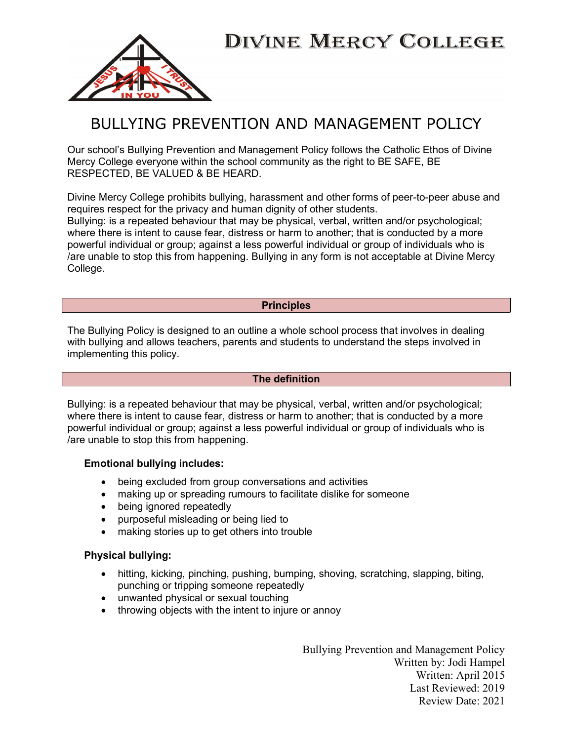



## BULLYING PREVENTION AND MANAGEMENT POLICY

Our school's Bullying Prevention and Management Policy follows the Catholic Ethos of Divine Mercy College everyone within the school community as the right to BE SAFE, BE RESPECTED, BE VALUED & BE HEARD.

Divine Mercy College prohibits bullying, harassment and other forms of peer-to-peer abuse and requires respect for the privacy and human dignity of other students.

Bullying: is a repeated behaviour that may be physical, verbal, written and/or psychological; where there is intent to cause fear, distress or harm to another; that is conducted by a more powerful individual or group; against a less powerful individual or group of individuals who is /are unable to stop this from happening. Bullying in any form is not acceptable at Divine Mercy College.

#### **Principles**

The Bullying Policy is designed to an outline a whole school process that involves in dealing with bullying and allows teachers, parents and students to understand the steps involved in implementing this policy.

#### The definition

Bullying: is a repeated behaviour that may be physical, verbal, written and/or psychological; where there is intent to cause fear, distress or harm to another; that is conducted by a more powerful individual or group; against a less powerful individual or group of individuals who is /are unable to stop this from happening.

#### Emotional bullying includes:

- being excluded from group conversations and activities
- making up or spreading rumours to facilitate dislike for someone
- being ignored repeatedly
- purposeful misleading or being lied to
- making stories up to get others into trouble

#### Physical bullying:

- hitting, kicking, pinching, pushing, bumping, shoving, scratching, slapping, biting, punching or tripping someone repeatedly
- unwanted physical or sexual touching
- throwing objects with the intent to injure or annoy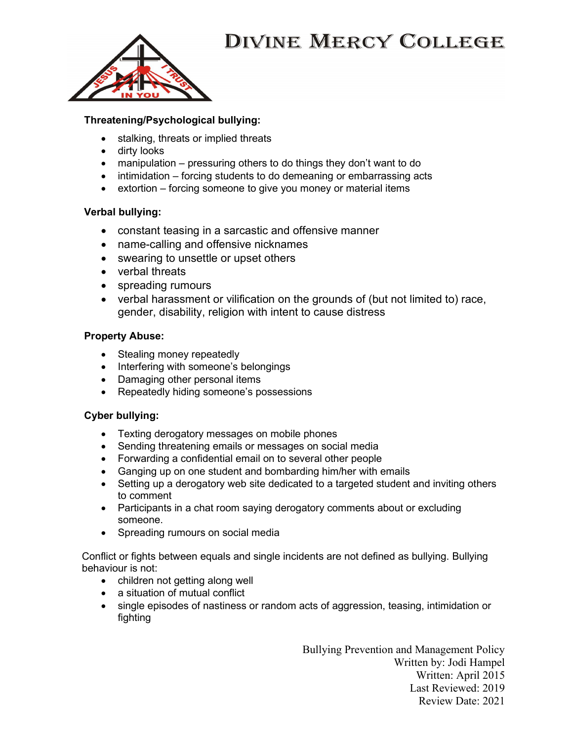

## Threatening/Psychological bullying:

- stalking, threats or implied threats
- dirty looks
- manipulation pressuring others to do things they don't want to do
- $\bullet$  intimidation forcing students to do demeaning or embarrassing acts
- extortion forcing someone to give you money or material items

### Verbal bullying:

- constant teasing in a sarcastic and offensive manner
- name-calling and offensive nicknames
- swearing to unsettle or upset others
- verbal threats
- spreading rumours
- verbal harassment or vilification on the grounds of (but not limited to) race, gender, disability, religion with intent to cause distress

### Property Abuse:

- Stealing money repeatedly
- Interfering with someone's belongings
- Damaging other personal items
- Repeatedly hiding someone's possessions

### Cyber bullying:

- Texting derogatory messages on mobile phones
- Sending threatening emails or messages on social media
- Forwarding a confidential email on to several other people
- Ganging up on one student and bombarding him/her with emails
- Setting up a derogatory web site dedicated to a targeted student and inviting others to comment
- Participants in a chat room saying derogatory comments about or excluding someone.
- Spreading rumours on social media

Conflict or fights between equals and single incidents are not defined as bullying. Bullying behaviour is not:

- children not getting along well
- a situation of mutual conflict
- single episodes of nastiness or random acts of aggression, teasing, intimidation or fighting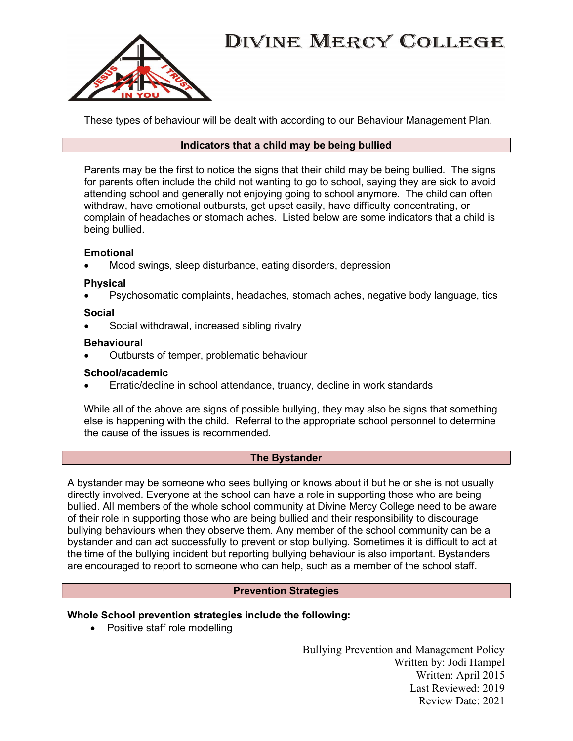

These types of behaviour will be dealt with according to our Behaviour Management Plan.

### Indicators that a child may be being bullied

Parents may be the first to notice the signs that their child may be being bullied. The signs for parents often include the child not wanting to go to school, saying they are sick to avoid attending school and generally not enjoying going to school anymore. The child can often withdraw, have emotional outbursts, get upset easily, have difficulty concentrating, or complain of headaches or stomach aches. Listed below are some indicators that a child is being bullied.

## Emotional

Mood swings, sleep disturbance, eating disorders, depression

### Physical

Psychosomatic complaints, headaches, stomach aches, negative body language, tics

## Social

Social withdrawal, increased sibling rivalry

## **Behavioural**

Outbursts of temper, problematic behaviour

## School/academic

Erratic/decline in school attendance, truancy, decline in work standards

While all of the above are signs of possible bullying, they may also be signs that something else is happening with the child. Referral to the appropriate school personnel to determine the cause of the issues is recommended.

## The Bystander

A bystander may be someone who sees bullying or knows about it but he or she is not usually directly involved. Everyone at the school can have a role in supporting those who are being bullied. All members of the whole school community at Divine Mercy College need to be aware of their role in supporting those who are being bullied and their responsibility to discourage bullying behaviours when they observe them. Any member of the school community can be a bystander and can act successfully to prevent or stop bullying. Sometimes it is difficult to act at the time of the bullying incident but reporting bullying behaviour is also important. Bystanders are encouraged to report to someone who can help, such as a member of the school staff.

### Prevention Strategies

## Whole School prevention strategies include the following:

• Positive staff role modelling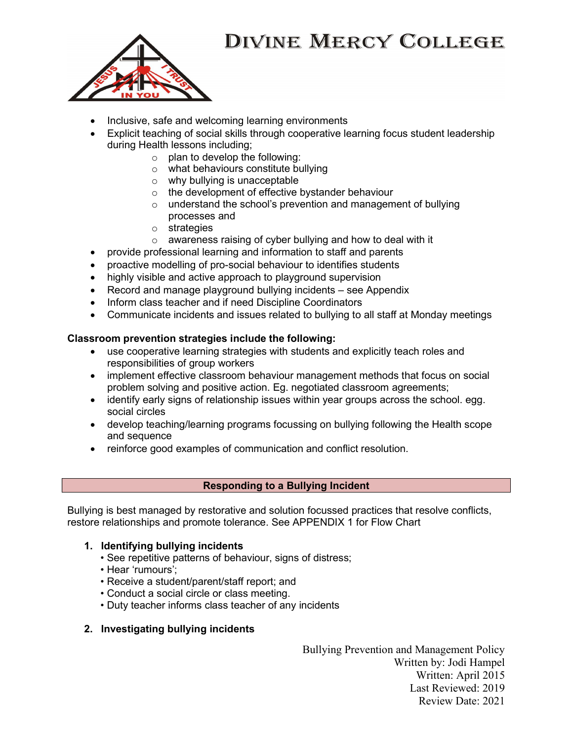

- Inclusive, safe and welcoming learning environments
- Explicit teaching of social skills through cooperative learning focus student leadership during Health lessons including;
	- $\circ$  plan to develop the following:
	- o what behaviours constitute bullying
	- o why bullying is unacceptable
	- o the development of effective bystander behaviour
	- o understand the school's prevention and management of bullying processes and
	- o strategies
	- o awareness raising of cyber bullying and how to deal with it
- provide professional learning and information to staff and parents
- proactive modelling of pro-social behaviour to identifies students
- highly visible and active approach to playground supervision
- Record and manage playground bullying incidents see Appendix
- Inform class teacher and if need Discipline Coordinators
- Communicate incidents and issues related to bullying to all staff at Monday meetings

### Classroom prevention strategies include the following:

- use cooperative learning strategies with students and explicitly teach roles and responsibilities of group workers
- implement effective classroom behaviour management methods that focus on social problem solving and positive action. Eg. negotiated classroom agreements;
- identify early signs of relationship issues within year groups across the school. egg. social circles
- develop teaching/learning programs focussing on bullying following the Health scope and sequence
- reinforce good examples of communication and conflict resolution.

### Responding to a Bullying Incident

Bullying is best managed by restorative and solution focussed practices that resolve conflicts, restore relationships and promote tolerance. See APPENDIX 1 for Flow Chart

### 1. Identifying bullying incidents

- See repetitive patterns of behaviour, signs of distress;
- Hear 'rumours';
- Receive a student/parent/staff report; and
- Conduct a social circle or class meeting.
- Duty teacher informs class teacher of any incidents

## 2. Investigating bullying incidents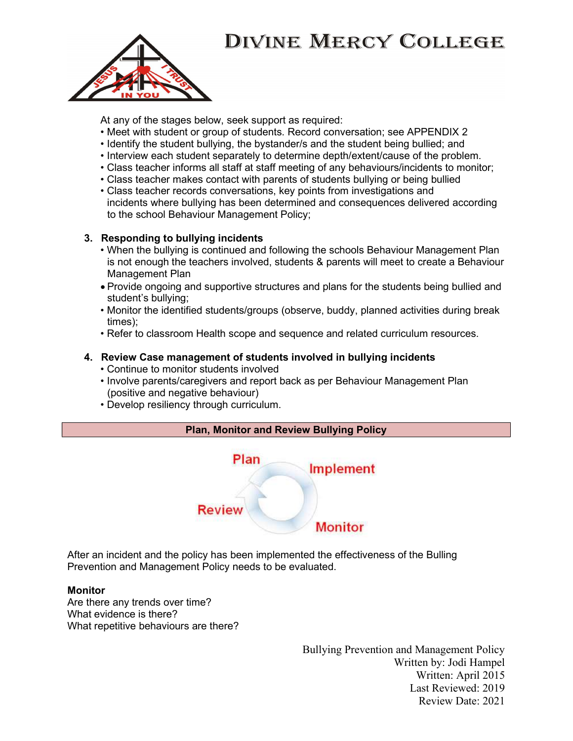

At any of the stages below, seek support as required:

- Meet with student or group of students. Record conversation; see APPENDIX 2
- Identify the student bullying, the bystander/s and the student being bullied; and
- Interview each student separately to determine depth/extent/cause of the problem.
- Class teacher informs all staff at staff meeting of any behaviours/incidents to monitor;
- Class teacher makes contact with parents of students bullying or being bullied
- Class teacher records conversations, key points from investigations and incidents where bullying has been determined and consequences delivered according to the school Behaviour Management Policy;

## 3. Responding to bullying incidents

- When the bullying is continued and following the schools Behaviour Management Plan is not enough the teachers involved, students & parents will meet to create a Behaviour Management Plan
- Provide ongoing and supportive structures and plans for the students being bullied and student's bullying;
- Monitor the identified students/groups (observe, buddy, planned activities during break times);
- Refer to classroom Health scope and sequence and related curriculum resources.

## 4. Review Case management of students involved in bullying incidents

- Continue to monitor students involved
- Involve parents/caregivers and report back as per Behaviour Management Plan (positive and negative behaviour)
- Develop resiliency through curriculum.



After an incident and the policy has been implemented the effectiveness of the Bulling Prevention and Management Policy needs to be evaluated.

### Monitor

Are there any trends over time? What evidence is there? What repetitive behaviours are there?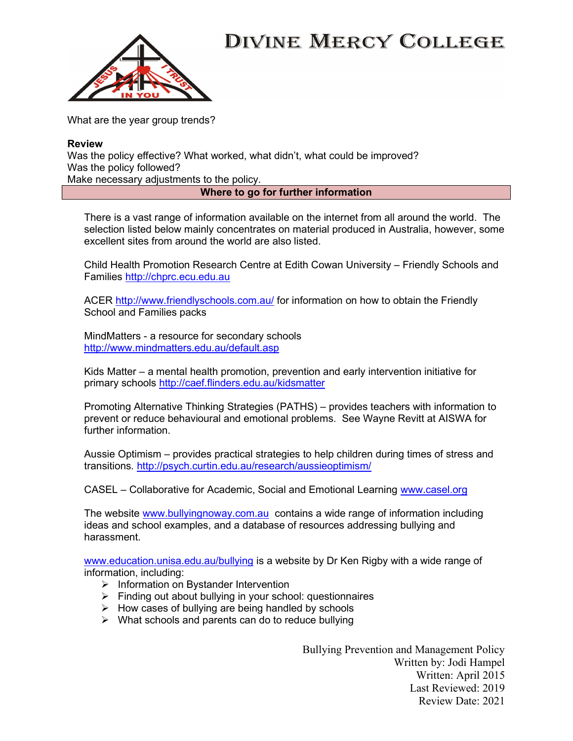

What are the year group trends?

#### Review

Was the policy effective? What worked, what didn't, what could be improved? Was the policy followed?

Make necessary adjustments to the policy.

#### Where to go for further information

There is a vast range of information available on the internet from all around the world. The selection listed below mainly concentrates on material produced in Australia, however, some excellent sites from around the world are also listed.

Child Health Promotion Research Centre at Edith Cowan University – Friendly Schools and Families http://chprc.ecu.edu.au

ACER http://www.friendlyschools.com.au/ for information on how to obtain the Friendly School and Families packs

MindMatters - a resource for secondary schools http://www.mindmatters.edu.au/default.asp

Kids Matter – a mental health promotion, prevention and early intervention initiative for primary schools http://caef.flinders.edu.au/kidsmatter

Promoting Alternative Thinking Strategies (PATHS) – provides teachers with information to prevent or reduce behavioural and emotional problems. See Wayne Revitt at AISWA for further information.

Aussie Optimism – provides practical strategies to help children during times of stress and transitions. http://psych.curtin.edu.au/research/aussieoptimism/

CASEL – Collaborative for Academic, Social and Emotional Learning www.casel.org

The website www.bullyingnoway.com.au contains a wide range of information including ideas and school examples, and a database of resources addressing bullying and harassment.

www.education.unisa.edu.au/bullying is a website by Dr Ken Rigby with a wide range of information, including:

- $\triangleright$  Information on Bystander Intervention
- $\triangleright$  Finding out about bullying in your school: questionnaires
- $\triangleright$  How cases of bullying are being handled by schools
- $\triangleright$  What schools and parents can do to reduce bullying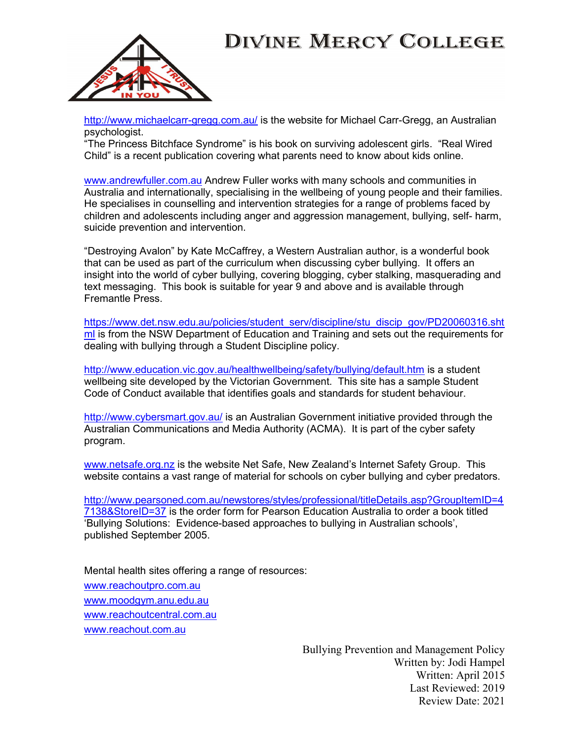

http://www.michaelcarr-gregg.com.au/ is the website for Michael Carr-Gregg, an Australian psychologist.

"The Princess Bitchface Syndrome" is his book on surviving adolescent girls. "Real Wired Child" is a recent publication covering what parents need to know about kids online.

www.andrewfuller.com.au Andrew Fuller works with many schools and communities in Australia and internationally, specialising in the wellbeing of young people and their families. He specialises in counselling and intervention strategies for a range of problems faced by children and adolescents including anger and aggression management, bullying, self- harm, suicide prevention and intervention.

"Destroying Avalon" by Kate McCaffrey, a Western Australian author, is a wonderful book that can be used as part of the curriculum when discussing cyber bullying. It offers an insight into the world of cyber bullying, covering blogging, cyber stalking, masquerading and text messaging. This book is suitable for year 9 and above and is available through Fremantle Press.

https://www.det.nsw.edu.au/policies/student\_serv/discipline/stu\_discip\_gov/PD20060316.sht ml is from the NSW Department of Education and Training and sets out the requirements for dealing with bullying through a Student Discipline policy.

http://www.education.vic.gov.au/healthwellbeing/safety/bullying/default.htm is a student wellbeing site developed by the Victorian Government. This site has a sample Student Code of Conduct available that identifies goals and standards for student behaviour.

http://www.cybersmart.gov.au/ is an Australian Government initiative provided through the Australian Communications and Media Authority (ACMA). It is part of the cyber safety program.

www.netsafe.org.nz is the website Net Safe, New Zealand's Internet Safety Group. This website contains a vast range of material for schools on cyber bullying and cyber predators.

http://www.pearsoned.com.au/newstores/styles/professional/titleDetails.asp?GroupItemID=4 7138&StoreID=37 is the order form for Pearson Education Australia to order a book titled 'Bullying Solutions: Evidence-based approaches to bullying in Australian schools', published September 2005.

Mental health sites offering a range of resources: www.reachoutpro.com.au www.moodgym.anu.edu.au www.reachoutcentral.com.au www.reachout.com.au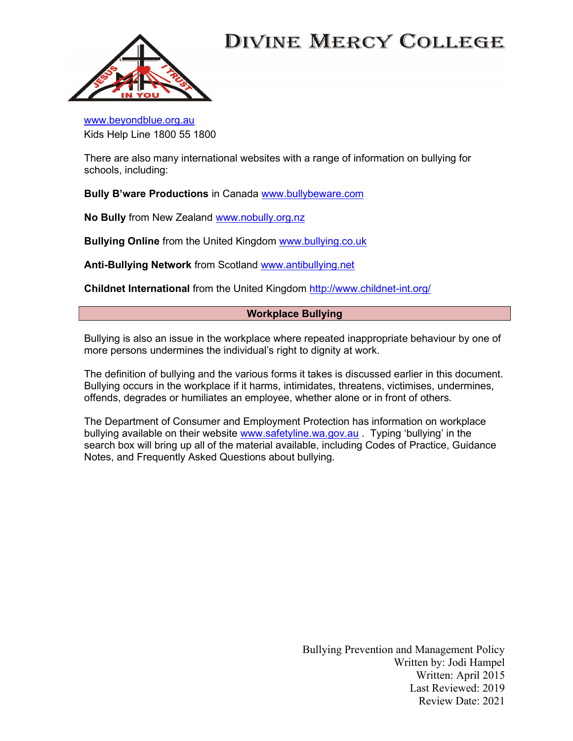

www.beyondblue.org.au Kids Help Line 1800 55 1800

There are also many international websites with a range of information on bullying for schools, including:

Bully B'ware Productions in Canada www.bullybeware.com

No Bully from New Zealand www.nobully.org.nz

Bullying Online from the United Kingdom www.bullying.co.uk

Anti-Bullying Network from Scotland www.antibullying.net

Childnet International from the United Kingdom http://www.childnet-int.org/

### Workplace Bullying

Bullying is also an issue in the workplace where repeated inappropriate behaviour by one of more persons undermines the individual's right to dignity at work.

The definition of bullying and the various forms it takes is discussed earlier in this document. Bullying occurs in the workplace if it harms, intimidates, threatens, victimises, undermines, offends, degrades or humiliates an employee, whether alone or in front of others.

The Department of Consumer and Employment Protection has information on workplace bullying available on their website www.safetyline.wa.gov.au . Typing 'bullying' in the search box will bring up all of the material available, including Codes of Practice, Guidance Notes, and Frequently Asked Questions about bullying.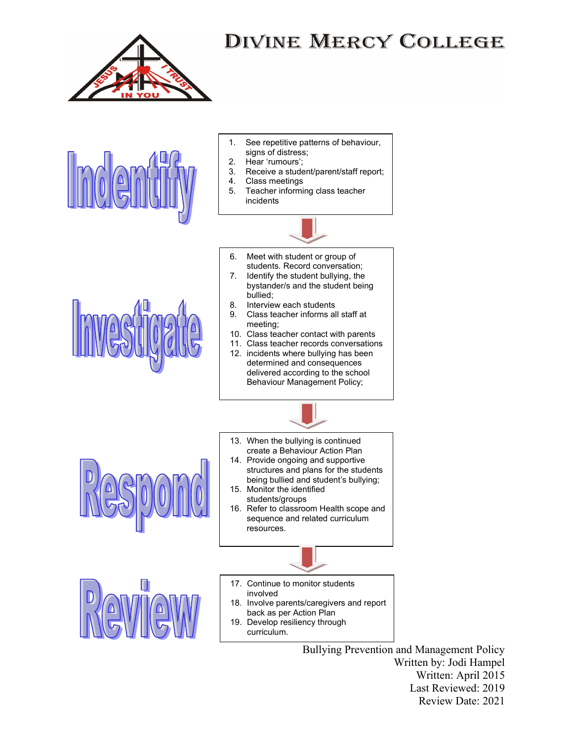

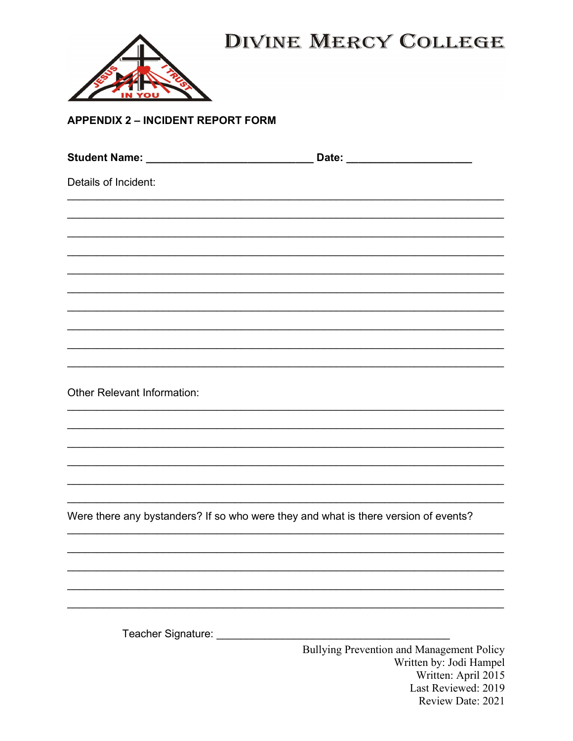

**APPENDIX 2 - INCIDENT REPORT FORM** 

| Details of Incident:                                                                |                                                                      |
|-------------------------------------------------------------------------------------|----------------------------------------------------------------------|
|                                                                                     |                                                                      |
|                                                                                     |                                                                      |
|                                                                                     |                                                                      |
|                                                                                     |                                                                      |
|                                                                                     |                                                                      |
|                                                                                     |                                                                      |
|                                                                                     |                                                                      |
| <b>Other Relevant Information:</b>                                                  |                                                                      |
|                                                                                     |                                                                      |
|                                                                                     |                                                                      |
|                                                                                     |                                                                      |
| Were there any bystanders? If so who were they and what is there version of events? |                                                                      |
|                                                                                     |                                                                      |
|                                                                                     |                                                                      |
|                                                                                     |                                                                      |
|                                                                                     |                                                                      |
|                                                                                     | Bullying Prevention and Management Policy<br>Written by: Jodi Hampel |

Written: April 2015 Last Reviewed: 2019 Review Date: 2021